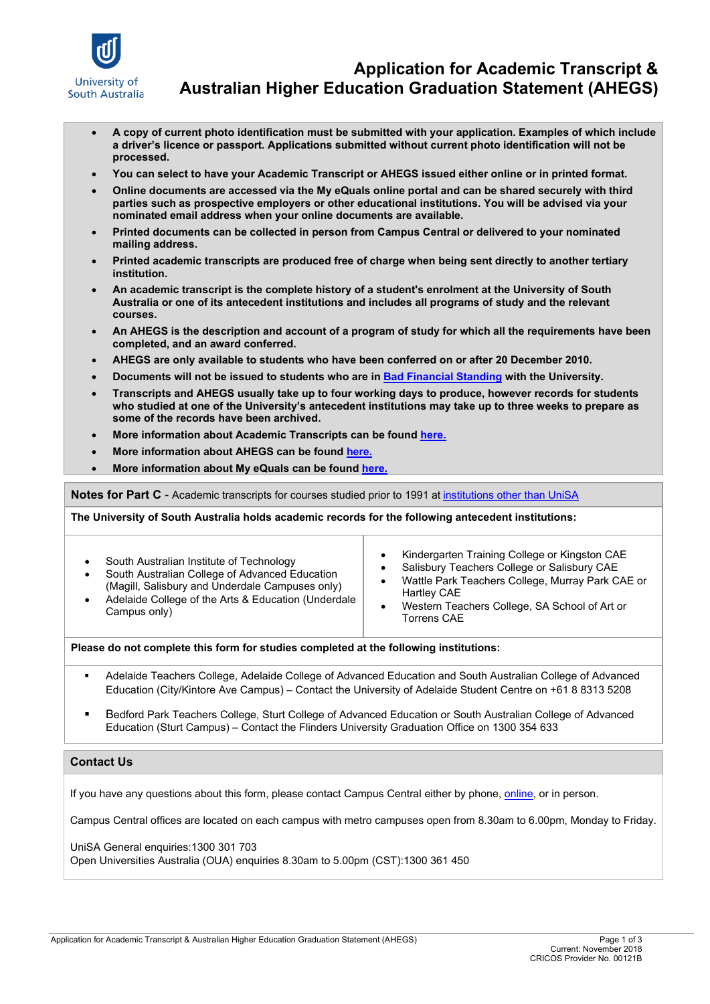

### **Application for Academic Transcript & Australian Higher Education Graduation Statement (AHEGS)**

- **A copy of current photo identification must be submitted with your application. Examples of which include a driver's licence or passport. Applications submitted without current photo identification will not be processed.**
- **You can select to have your Academic Transcript or AHEGS issued either online or in printed format.**
- **Online documents are accessed via the My eQuals online portal and can be shared securely with third parties such as prospective employers or other educational institutions. You will be advised via your nominated email address when your online documents are available.**
- **Printed documents can be collected in person from Campus Central or delivered to your nominated mailing address.**
- **Printed academic transcripts are produced free of charge when being sent directly to another tertiary institution.**
- **An academic transcript is the complete history of a student's enrolment at the University of South Australia or one of its antecedent institutions and includes all programs of study and the relevant courses.**
- **An AHEGS is the description and account of a program of study for which all the requirements have been completed, and an award conferred.**
- **AHEGS are only available to students who have been conferred on or after 20 December 2010.**
- **Documents will not be issued to students who are i[n Bad Financial Standing](http://i.unisa.edu.au/campus-central/Fees-and-Finance/Bad-Financial-standing/) with the University.**
- **Transcripts and AHEGS usually take up to four working days to produce, however records for students who studied at one of the University's antecedent institutions may take up to three weeks to prepare as some of the records have been archived.**
- **More information about Academic Transcripts can be found [here.](http://i.unisa.edu.au/Campus-Central/Graduations/Services-for-graduates/Academic-Transcripts-Shared/)**
- **More information about AHEGS can be foun[d here.](http://i.unisa.edu.au/Campus-Central/Graduations/Services-for-graduates/Australian-Higher-Education-Graduation-Statement/)**
- **More information about My eQuals can be foun[d here.](https://www.unisa.edu.au/Student-Life/Support-services/Student-administration/My-eQuals/)**

**Notes for Part C** - Academic transcripts for courses studied prior to 1991 at [institutions other than UniSA](http://www.unisa.edu.au/Student-Life/Support-services/Student-administration/Parchments-transcripts-and-AHEGS/?_ga=2.251501510.159631201.1510520702-1774974920.1432005869%20-%20otherinstitutions)

**The University of South Australia holds academic records for the following antecedent institutions:** 

| South Australian Institute of Technology<br>South Australian College of Advanced Education<br>(Magill, Salisbury and Underdale Campuses only)<br>Adelaide College of the Arts & Education (Underdale<br>Campus only) | Kindergarten Training College or Kingston CAE<br>Salisbury Teachers College or Salisbury CAE<br>Wattle Park Teachers College, Murray Park CAE or<br>٠<br>Hartley CAE<br>Western Teachers College, SA School of Art or<br>٠<br><b>Torrens CAE</b> |
|----------------------------------------------------------------------------------------------------------------------------------------------------------------------------------------------------------------------|--------------------------------------------------------------------------------------------------------------------------------------------------------------------------------------------------------------------------------------------------|
|----------------------------------------------------------------------------------------------------------------------------------------------------------------------------------------------------------------------|--------------------------------------------------------------------------------------------------------------------------------------------------------------------------------------------------------------------------------------------------|

#### **Please do not complete this form for studies completed at the following institutions:**

- Adelaide Teachers College, Adelaide College of Advanced Education and South Australian College of Advanced Education (City/Kintore Ave Campus) – Contact the University of Adelaide Student Centre on +61 8 8313 5208
- Bedford Park Teachers College, Sturt College of Advanced Education or South Australian College of Advanced Education (Sturt Campus) – Contact the Flinders University Graduation Office on 1300 354 633

#### **Contact Us**

If you have any questions about this form, please contact Campus Central either by phone, [online,](https://askcampuscentral.unisa.edu.au/app/utils/login_form/redirect/ask) or in person.

Campus Central offices are located on each campus with metro campuses open from 8.30am to 6.00pm, Monday to Friday.

UniSA General enquiries:1300 301 703

Open Universities Australia (OUA) enquiries 8.30am to 5.00pm (CST):1300 361 450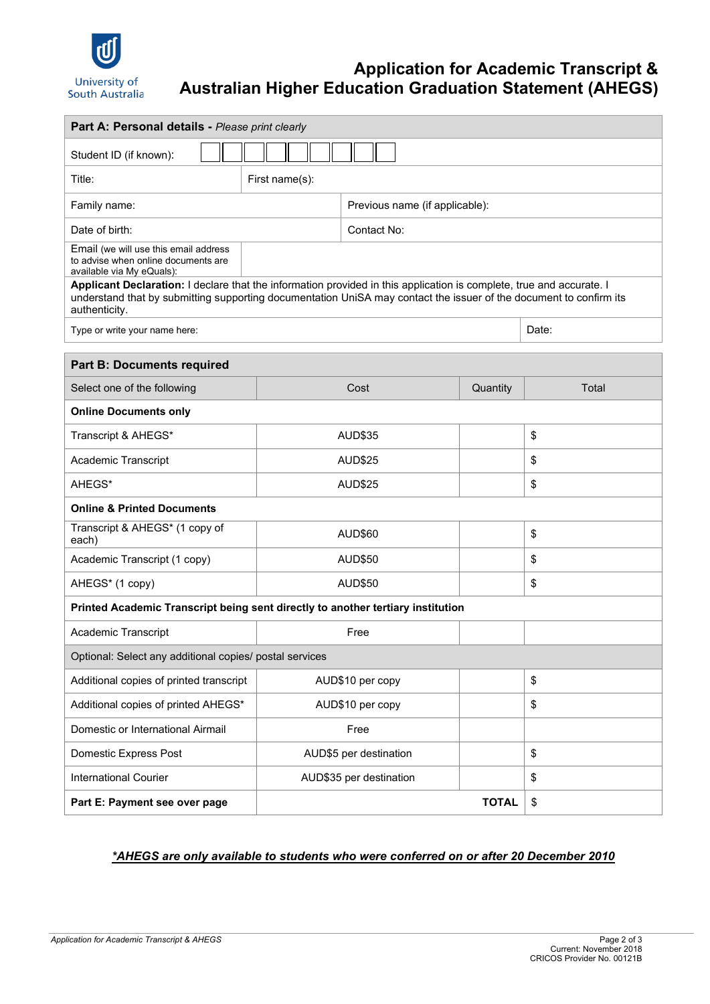

## **Application for Academic Transcript & Australian Higher Education Graduation Statement (AHEGS)**

| Part A: Personal details - Please print clearly                                                                                                                                                                                                             |                                |                        |    |       |  |  |  |
|-------------------------------------------------------------------------------------------------------------------------------------------------------------------------------------------------------------------------------------------------------------|--------------------------------|------------------------|----|-------|--|--|--|
| Student ID (if known):                                                                                                                                                                                                                                      |                                |                        |    |       |  |  |  |
| Title:                                                                                                                                                                                                                                                      | First name(s):                 |                        |    |       |  |  |  |
| Family name:                                                                                                                                                                                                                                                | Previous name (if applicable): |                        |    |       |  |  |  |
| Date of birth:                                                                                                                                                                                                                                              | Contact No:                    |                        |    |       |  |  |  |
| Email (we will use this email address<br>to advise when online documents are<br>available via My eQuals):                                                                                                                                                   |                                |                        |    |       |  |  |  |
| Applicant Declaration: I declare that the information provided in this application is complete, true and accurate. I<br>understand that by submitting supporting documentation UniSA may contact the issuer of the document to confirm its<br>authenticity. |                                |                        |    |       |  |  |  |
| Type or write your name here:                                                                                                                                                                                                                               |                                |                        |    | Date: |  |  |  |
| <b>Part B: Documents required</b>                                                                                                                                                                                                                           |                                |                        |    |       |  |  |  |
| Select one of the following                                                                                                                                                                                                                                 |                                | Cost<br>Quantity       |    | Total |  |  |  |
| <b>Online Documents only</b>                                                                                                                                                                                                                                |                                |                        |    |       |  |  |  |
| Transcript & AHEGS*                                                                                                                                                                                                                                         |                                | <b>AUD\$35</b>         |    | \$    |  |  |  |
| Academic Transcript                                                                                                                                                                                                                                         |                                | AUD\$25                |    | \$    |  |  |  |
| AHEGS*                                                                                                                                                                                                                                                      | <b>AUD\$25</b>                 |                        |    | \$    |  |  |  |
| <b>Online &amp; Printed Documents</b>                                                                                                                                                                                                                       |                                |                        |    |       |  |  |  |
| Transcript & AHEGS* (1 copy of<br>each)                                                                                                                                                                                                                     |                                | AUD\$60                |    | \$    |  |  |  |
| Academic Transcript (1 copy)                                                                                                                                                                                                                                |                                | AUD\$50                |    | \$    |  |  |  |
| AHEGS* (1 copy)                                                                                                                                                                                                                                             |                                | AUD\$50                |    | \$    |  |  |  |
| Printed Academic Transcript being sent directly to another tertiary institution                                                                                                                                                                             |                                |                        |    |       |  |  |  |
| Academic Transcript                                                                                                                                                                                                                                         |                                | Free                   |    |       |  |  |  |
| Optional: Select any additional copies/ postal services                                                                                                                                                                                                     |                                |                        |    |       |  |  |  |
| Additional copies of printed transcript                                                                                                                                                                                                                     | AUD\$10 per copy               |                        |    | \$    |  |  |  |
| Additional copies of printed AHEGS*                                                                                                                                                                                                                         |                                | AUD\$10 per copy       |    | \$    |  |  |  |
| Domestic or International Airmail                                                                                                                                                                                                                           |                                | Free                   |    |       |  |  |  |
| Domestic Express Post                                                                                                                                                                                                                                       |                                | AUD\$5 per destination |    | \$    |  |  |  |
| <b>International Courier</b>                                                                                                                                                                                                                                | AUD\$35 per destination        |                        | \$ |       |  |  |  |
| Part E: Payment see over page                                                                                                                                                                                                                               |                                | <b>TOTAL</b><br>\$     |    |       |  |  |  |

#### *\*AHEGS are only available to students who were conferred on or after 20 December 2010*